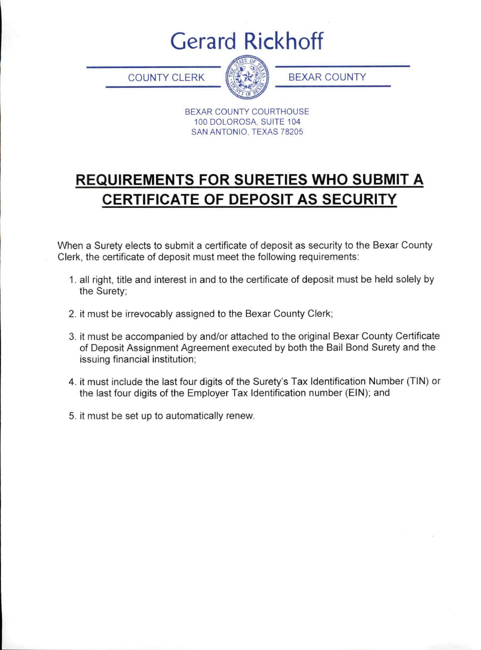# **Gerard Rickhoff**

**COUNTY CLERK** 



**BEXAR COUNTY** 

BEXAR COUNTY COURTHOUSE 100 DOLOROSA, SUITE 104 SAN ANTONIO, TEXAS 78205

# **REQUIREMENTS FOR SURETIES WHO SUBMIT A CERTIFICATE OF DEPOSIT AS SECURITY**

When a Surety elects to submit a certificate of deposit as security to the Bexar County Clerk, the certificate of deposit must meet the following requirements:

- 1. all right, title and interest in and to the certificate of deposit must be held solely by the Surety:
- 2. it must be irrevocably assigned to the Bexar County Clerk;
- 3. it must be accompanied by and/or attached to the original Bexar County Certificate of Deposit Assignment Agreement executed by both the Bail Bond Surety and the issuing financial institution;
- 4. it must include the last four digits of the Surety's Tax Identification Number (TIN) or the last four digits of the Employer Tax Identification number (EIN); and
- 5. it must be set up to automatically renew.